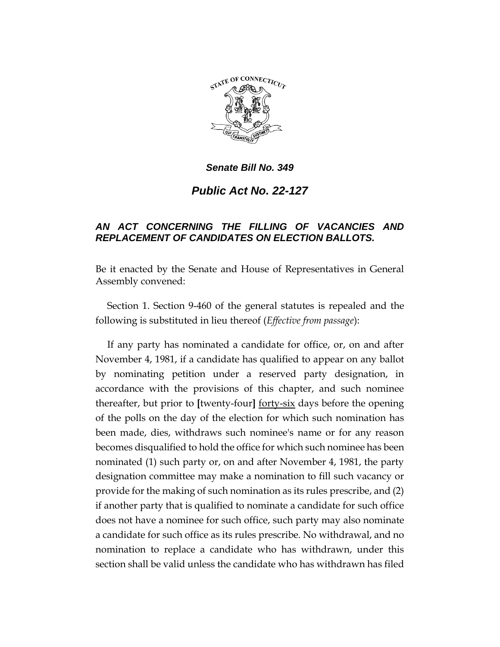

*Senate Bill No. 349*

*Public Act No. 22-127*

## *AN ACT CONCERNING THE FILLING OF VACANCIES AND REPLACEMENT OF CANDIDATES ON ELECTION BALLOTS.*

Be it enacted by the Senate and House of Representatives in General Assembly convened:

Section 1. Section 9-460 of the general statutes is repealed and the following is substituted in lieu thereof (*Effective from passage*):

If any party has nominated a candidate for office, or, on and after November 4, 1981, if a candidate has qualified to appear on any ballot by nominating petition under a reserved party designation, in accordance with the provisions of this chapter, and such nominee thereafter, but prior to **[**twenty-four**]** forty-six days before the opening of the polls on the day of the election for which such nomination has been made, dies, withdraws such nominee's name or for any reason becomes disqualified to hold the office for which such nominee has been nominated (1) such party or, on and after November 4, 1981, the party designation committee may make a nomination to fill such vacancy or provide for the making of such nomination as its rules prescribe, and (2) if another party that is qualified to nominate a candidate for such office does not have a nominee for such office, such party may also nominate a candidate for such office as its rules prescribe. No withdrawal, and no nomination to replace a candidate who has withdrawn, under this section shall be valid unless the candidate who has withdrawn has filed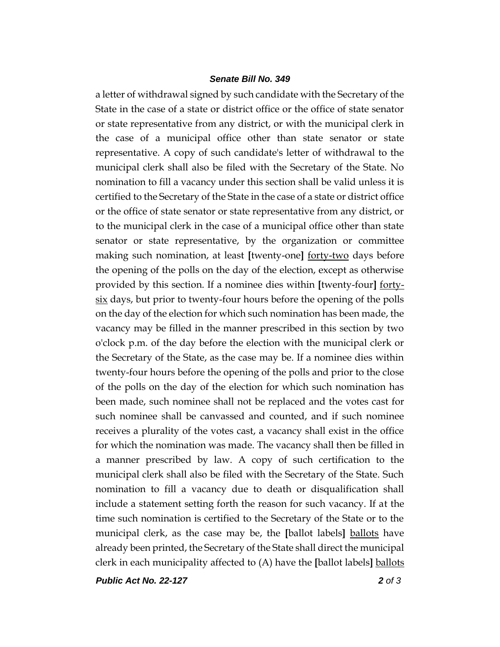## *Senate Bill No. 349*

a letter of withdrawal signed by such candidate with the Secretary of the State in the case of a state or district office or the office of state senator or state representative from any district, or with the municipal clerk in the case of a municipal office other than state senator or state representative. A copy of such candidate's letter of withdrawal to the municipal clerk shall also be filed with the Secretary of the State. No nomination to fill a vacancy under this section shall be valid unless it is certified to the Secretary of the State in the case of a state or district office or the office of state senator or state representative from any district, or to the municipal clerk in the case of a municipal office other than state senator or state representative, by the organization or committee making such nomination, at least **[**twenty-one**]** forty-two days before the opening of the polls on the day of the election, except as otherwise provided by this section. If a nominee dies within **[**twenty-four**]** fortysix days, but prior to twenty-four hours before the opening of the polls on the day of the election for which such nomination has been made, the vacancy may be filled in the manner prescribed in this section by two o'clock p.m. of the day before the election with the municipal clerk or the Secretary of the State, as the case may be. If a nominee dies within twenty-four hours before the opening of the polls and prior to the close of the polls on the day of the election for which such nomination has been made, such nominee shall not be replaced and the votes cast for such nominee shall be canvassed and counted, and if such nominee receives a plurality of the votes cast, a vacancy shall exist in the office for which the nomination was made. The vacancy shall then be filled in a manner prescribed by law. A copy of such certification to the municipal clerk shall also be filed with the Secretary of the State. Such nomination to fill a vacancy due to death or disqualification shall include a statement setting forth the reason for such vacancy. If at the time such nomination is certified to the Secretary of the State or to the municipal clerk, as the case may be, the **[**ballot labels**]** ballots have already been printed, the Secretary of the State shall direct the municipal clerk in each municipality affected to (A) have the **[**ballot labels**]** ballots

*Public Act No. 22-127 2 of 3*